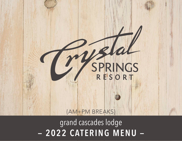

- 2022 CATERING MENU grand cascades lodge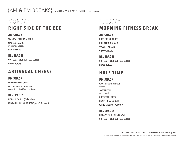{AM & PM BREAKS} A MINIMUM OF 10 GUESTS IS REQUIRED. **\$20 Per Person**

# MONDAY **RIGHT SIDE OF THE BED**

#### **AM SNACK**

**SEASONAL BERRIES or FRUIT**

**SMOKED SALMON** cream cheese, bagels **DEVILED EGGS**

# **BEVERAGES**

**COFFEE AFFICIONADO ICED COFFEE NAKED JUICES**

## **ARTISANAL CHEESE**

### **PM SNACK**

**INTERNATIONAL CHEESES**

**FRESH BREAD & CRACKERS** seasonal jam, dried fruit, nuts, honey

### **BEVERAGES**

**HOT APPLE CIDER** {Fall & Winter} **MINT & BERRY SMOOTHIES** {Spring & Summer}

# TUESDAY **MORNING FITNESS BREAK**

#### **AM SNACK**

**BOTTLED SMOOTHIES DRIED FRUITS & NUTS YOGURT PARFAITS GRANOLA BARS**

#### **BEVERAGES COFFEE AFFICIONADO ICED COFFEE NAKED JUICES**

## **HALF TIME**

#### **PM SNACK WAGYU BEEF HOT DOGS**

sauerkraut **SOFT PRETZELS**  deli mustard **CHEESECAKE BITES**

**HONEY ROASTED NUTS WHITE CHEDDAR POPCORN**

### **BEVERAGES**

**HOT APPLE CIDER** {Fall & Winter} **COFFEE AFFICIONADO ICED COFFEE**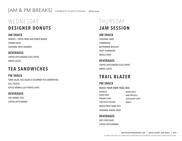{AM & PM BREAKS} A MINIMUM OF 10 GUESTS IS REQUIRED. **\$20 Per Person**

# WEDNESDAY **DESIGNER DONUTS**

**AM SNACK DONUTS — FRESH FROM OUR DONUT MAKER CRUMB CAKES SEASONAL FRUIT SKEWERS**

#### **BEVERAGES**

**COFFEE AFFICIONADO ICED COFFEE NAKED JUICES**

## **TEA SANDWICHES**

**PM SNACK TUNA SALAD, EGG SALAD & CUCUMBER TEA SANDWICHES DILL PICKLES KETTLE KRINKLE CUT POTATO CHIPS**

#### **BEVERAGES**

**HOT HERBAL TEAS COFFEE AFFICIONADO**

# THURSDAY **JAM SESSION**

#### **AM SNACK**

**SEASONAL JAMS CORNBREAD BUTTERMILK BISCUITS FRUIT TURNOVERS WHOLE FRUIT**

**BEVERAGES COFFEE AFFICIONADO ICED COFFEE NAKED JUICES**

## **TRAIL BLAZER**

### **PM SNACK**

**GRANOLA**

**BUILD YOUR OWN TRAIL MIX:**

| GRANOLA                      | <b>MIXED NUTS</b>      |
|------------------------------|------------------------|
| <b>DRIED FRUIT</b>           | <b>MINI PRETZELS</b>   |
| <b>BANANA CHIPS</b>          | <b>CHOCOLATE CHIPS</b> |
| <b>CHOCOLATE RAISINS</b>     | M&M'S                  |
| <b>MIXED FRUIT HAND PIES</b> |                        |
| <b>SEASONAL WHOLE FRUIT</b>  |                        |

#### **BEVERAGES**

**HOT CHOCOLATE COFFEE AFFICIONADO**